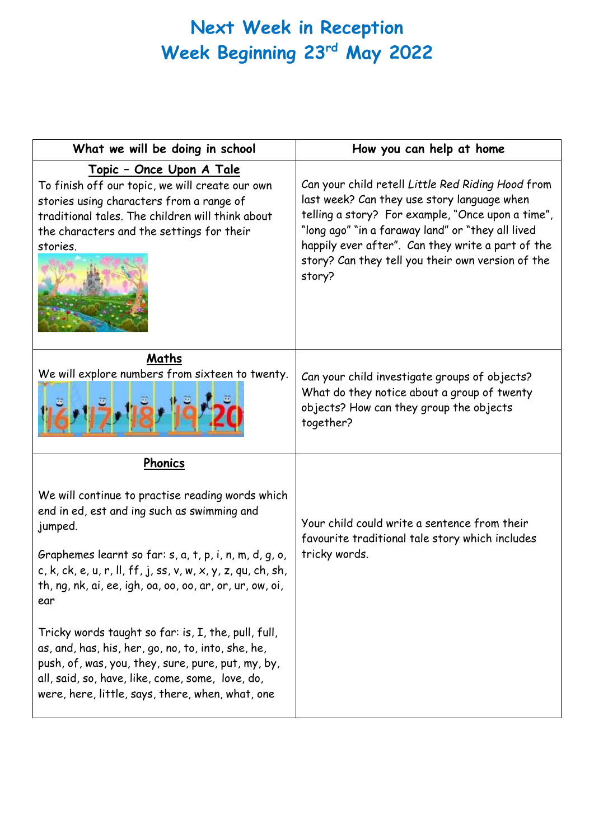## **Next Week in Reception Week Beginning 23rd May 2022**

| What we will be doing in school                                                                                                                                                                                                                                                                                                                | How you can help at home                                                                                                                                                                                                                                                                                                       |
|------------------------------------------------------------------------------------------------------------------------------------------------------------------------------------------------------------------------------------------------------------------------------------------------------------------------------------------------|--------------------------------------------------------------------------------------------------------------------------------------------------------------------------------------------------------------------------------------------------------------------------------------------------------------------------------|
| <u> Topic - Once Upon A Tale</u><br>To finish off our topic, we will create our own<br>stories using characters from a range of<br>traditional tales. The children will think about<br>the characters and the settings for their<br>stories.                                                                                                   | Can your child retell Little Red Riding Hood from<br>last week? Can they use story language when<br>telling a story? For example, "Once upon a time",<br>"long ago" "in a faraway land" or "they all lived<br>happily ever after". Can they write a part of the<br>story? Can they tell you their own version of the<br>story? |
| Maths<br>We will explore numbers from sixteen to twenty.                                                                                                                                                                                                                                                                                       | Can your child investigate groups of objects?<br>What do they notice about a group of twenty<br>objects? How can they group the objects<br>together?                                                                                                                                                                           |
| Phonics                                                                                                                                                                                                                                                                                                                                        |                                                                                                                                                                                                                                                                                                                                |
| We will continue to practise reading words which<br>end in ed, est and ing such as swimming and<br>jumped.<br>Graphemes learnt so far: s, a, t, p, i, n, m, d, g, o,<br>c, k, ck, e, u, r, ll, ff, j, ss, v, w, x, y, z, qu, ch, sh,<br>th, $nq$ , $nk$ , $ai$ , $ee$ , $iqh$ , $oa$ , $oo$ , $oo$ , $ar$ , $or$ , $ur$ , $ow$ , $oi$ ,<br>ear | Your child could write a sentence from their<br>favourite traditional tale story which includes<br>tricky words.                                                                                                                                                                                                               |
| Tricky words taught so far: is, I, the, pull, full,<br>as, and, has, his, her, go, no, to, into, she, he,<br>push, of, was, you, they, sure, pure, put, my, by,<br>all, said, so, have, like, come, some, love, do,<br>were, here, little, says, there, when, what, one                                                                        |                                                                                                                                                                                                                                                                                                                                |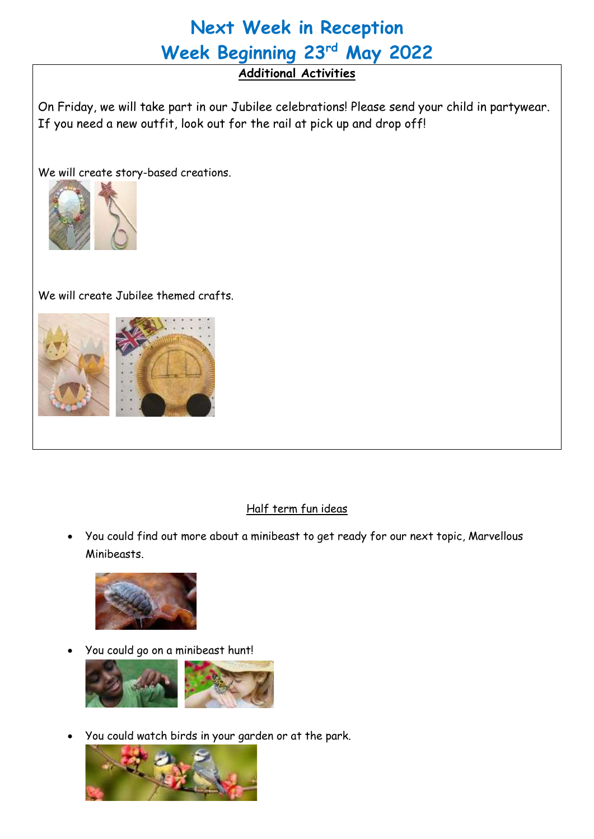# **Next Week in Reception Week Beginning 23rd May 2022**

### **Additional Activities**

On Friday, we will take part in our Jubilee celebrations! Please send your child in partywear. If you need a new outfit, look out for the rail at pick up and drop off!

We will create story-based creations.



We will create Jubilee themed crafts.



#### Half term fun ideas

• You could find out more about a minibeast to get ready for our next topic, Marvellous Minibeasts.



• You could go on a minibeast hunt!



• You could watch birds in your garden or at the park.